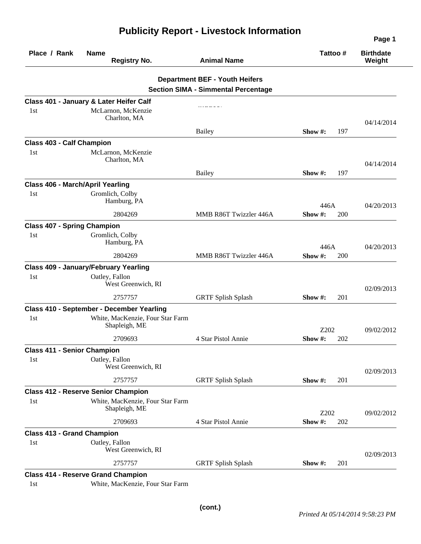| Place / Rank                            | <b>Name</b><br><b>Registry No.</b>                | <b>Animal Name</b>                                                                  | Tattoo#           | <b>Birthdate</b><br>Weight |
|-----------------------------------------|---------------------------------------------------|-------------------------------------------------------------------------------------|-------------------|----------------------------|
|                                         |                                                   | <b>Department BEF - Youth Heifers</b><br><b>Section SIMA - Simmental Percentage</b> |                   |                            |
|                                         | Class 401 - January & Later Heifer Calf           |                                                                                     |                   |                            |
| 1st                                     | McLarnon, McKenzie<br>Charlton, MA                |                                                                                     |                   | 04/14/2014                 |
|                                         |                                                   | <b>Bailey</b>                                                                       | 197<br>Show $#$ : |                            |
| <b>Class 403 - Calf Champion</b>        |                                                   |                                                                                     |                   |                            |
| 1st                                     | McLarnon, McKenzie<br>Charlton, MA                |                                                                                     |                   | 04/14/2014                 |
|                                         |                                                   | <b>Bailey</b>                                                                       | 197<br>Show $#$ : |                            |
| <b>Class 406 - March/April Yearling</b> |                                                   |                                                                                     |                   |                            |
| 1st                                     | Gromlich, Colby<br>Hamburg, PA                    |                                                                                     | 446A              | 04/20/2013                 |
|                                         | 2804269                                           | MMB R86T Twizzler 446A                                                              | 200<br>Show #:    |                            |
| <b>Class 407 - Spring Champion</b>      |                                                   |                                                                                     |                   |                            |
| 1st                                     | Gromlich, Colby<br>Hamburg, PA                    |                                                                                     | 446A              | 04/20/2013                 |
|                                         | 2804269                                           | MMB R86T Twizzler 446A                                                              | 200<br>Show $#$ : |                            |
|                                         | <b>Class 409 - January/February Yearling</b>      |                                                                                     |                   |                            |
| 1st                                     | Oatley, Fallon<br>West Greenwich, RI              |                                                                                     |                   | 02/09/2013                 |
|                                         | 2757757                                           | <b>GRTF Splish Splash</b>                                                           | 201<br>Show $#$ : |                            |
|                                         | Class 410 - September - December Yearling         |                                                                                     |                   |                            |
| 1st                                     | White, MacKenzie, Four Star Farm<br>Shapleigh, ME |                                                                                     | Z202              | 09/02/2012                 |
|                                         | 2709693                                           | 4 Star Pistol Annie                                                                 | 202<br>Show $#$ : |                            |
| <b>Class 411 - Senior Champion</b>      |                                                   |                                                                                     |                   |                            |
| 1st                                     | Oatley, Fallon<br>West Greenwich, RI              |                                                                                     |                   | 02/09/2013                 |
|                                         | 2757757                                           | <b>GRTF Splish Splash</b>                                                           | 201<br>Show #:    |                            |
|                                         | <b>Class 412 - Reserve Senior Champion</b>        |                                                                                     |                   |                            |
| 1st                                     | White, MacKenzie, Four Star Farm<br>Shapleigh, ME |                                                                                     | Z202              | 09/02/2012                 |
|                                         | 2709693                                           | 4 Star Pistol Annie                                                                 | Show #:<br>202    |                            |
| <b>Class 413 - Grand Champion</b>       |                                                   |                                                                                     |                   |                            |
| 1st                                     | Oatley, Fallon<br>West Greenwich, RI              |                                                                                     |                   | 02/09/2013                 |
|                                         | 2757757                                           | <b>GRTF Splish Splash</b>                                                           | Show #:<br>201    |                            |
|                                         | <b>Class 414 - Reserve Grand Champion</b>         |                                                                                     |                   |                            |

## **Publicity Report - Livestock Information**

1st White, MacKenzie, Four Star Farm

**Page 1**